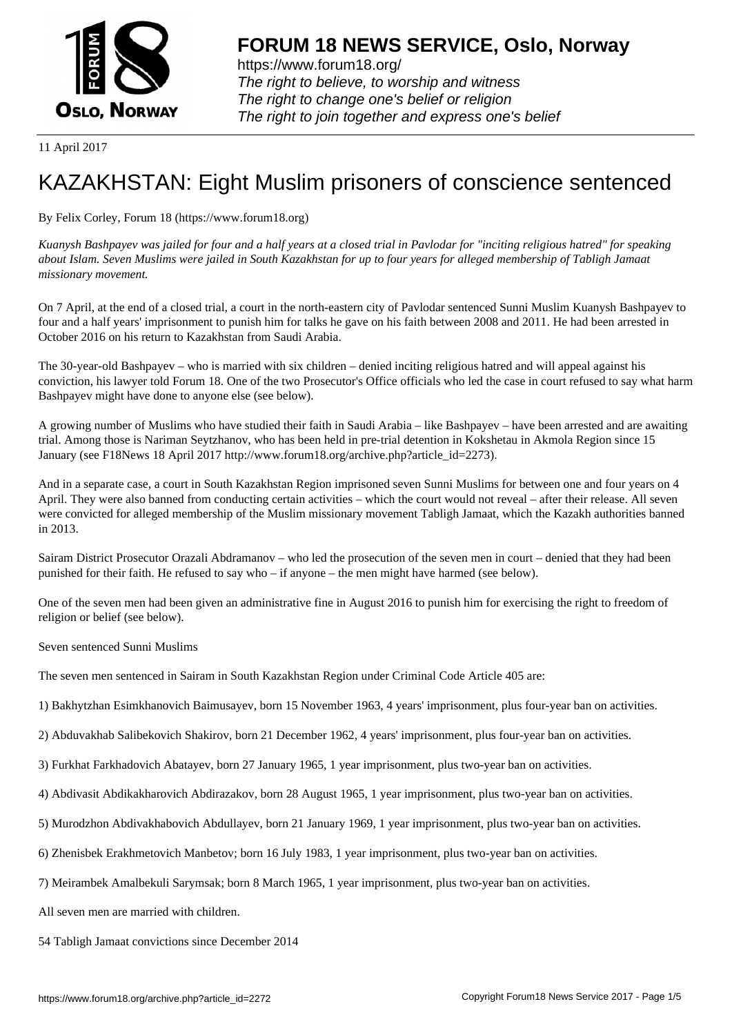

https://www.forum18.org/ The right to believe, to worship and witness The right to change one's belief or religion [The right to join together a](https://www.forum18.org/)nd express one's belief

11 April 2017

## [KAZAKHSTAN:](https://www.forum18.org) Eight Muslim prisoners of conscience sentenced

By Felix Corley, Forum 18 (https://www.forum18.org)

*Kuanysh Bashpayev was jailed for four and a half years at a closed trial in Pavlodar for "inciting religious hatred" for speaking about Islam. Seven Muslims were jailed in South Kazakhstan for up to four years for alleged membership of Tabligh Jamaat missionary movement.*

On 7 April, at the end of a closed trial, a court in the north-eastern city of Pavlodar sentenced Sunni Muslim Kuanysh Bashpayev to four and a half years' imprisonment to punish him for talks he gave on his faith between 2008 and 2011. He had been arrested in October 2016 on his return to Kazakhstan from Saudi Arabia.

The 30-year-old Bashpayev – who is married with six children – denied inciting religious hatred and will appeal against his conviction, his lawyer told Forum 18. One of the two Prosecutor's Office officials who led the case in court refused to say what harm Bashpayev might have done to anyone else (see below).

A growing number of Muslims who have studied their faith in Saudi Arabia – like Bashpayev – have been arrested and are awaiting trial. Among those is Nariman Seytzhanov, who has been held in pre-trial detention in Kokshetau in Akmola Region since 15 January (see F18News 18 April 2017 http://www.forum18.org/archive.php?article\_id=2273).

And in a separate case, a court in South Kazakhstan Region imprisoned seven Sunni Muslims for between one and four years on 4 April. They were also banned from conducting certain activities – which the court would not reveal – after their release. All seven were convicted for alleged membership of the Muslim missionary movement Tabligh Jamaat, which the Kazakh authorities banned in 2013.

Sairam District Prosecutor Orazali Abdramanov – who led the prosecution of the seven men in court – denied that they had been punished for their faith. He refused to say who – if anyone – the men might have harmed (see below).

One of the seven men had been given an administrative fine in August 2016 to punish him for exercising the right to freedom of religion or belief (see below).

Seven sentenced Sunni Muslims

The seven men sentenced in Sairam in South Kazakhstan Region under Criminal Code Article 405 are:

1) Bakhytzhan Esimkhanovich Baimusayev, born 15 November 1963, 4 years' imprisonment, plus four-year ban on activities.

- 2) Abduvakhab Salibekovich Shakirov, born 21 December 1962, 4 years' imprisonment, plus four-year ban on activities.
- 3) Furkhat Farkhadovich Abatayev, born 27 January 1965, 1 year imprisonment, plus two-year ban on activities.
- 4) Abdivasit Abdikakharovich Abdirazakov, born 28 August 1965, 1 year imprisonment, plus two-year ban on activities.
- 5) Murodzhon Abdivakhabovich Abdullayev, born 21 January 1969, 1 year imprisonment, plus two-year ban on activities.
- 6) Zhenisbek Erakhmetovich Manbetov; born 16 July 1983, 1 year imprisonment, plus two-year ban on activities.
- 7) Meirambek Amalbekuli Sarymsak; born 8 March 1965, 1 year imprisonment, plus two-year ban on activities.

All seven men are married with children.

54 Tabligh Jamaat convictions since December 2014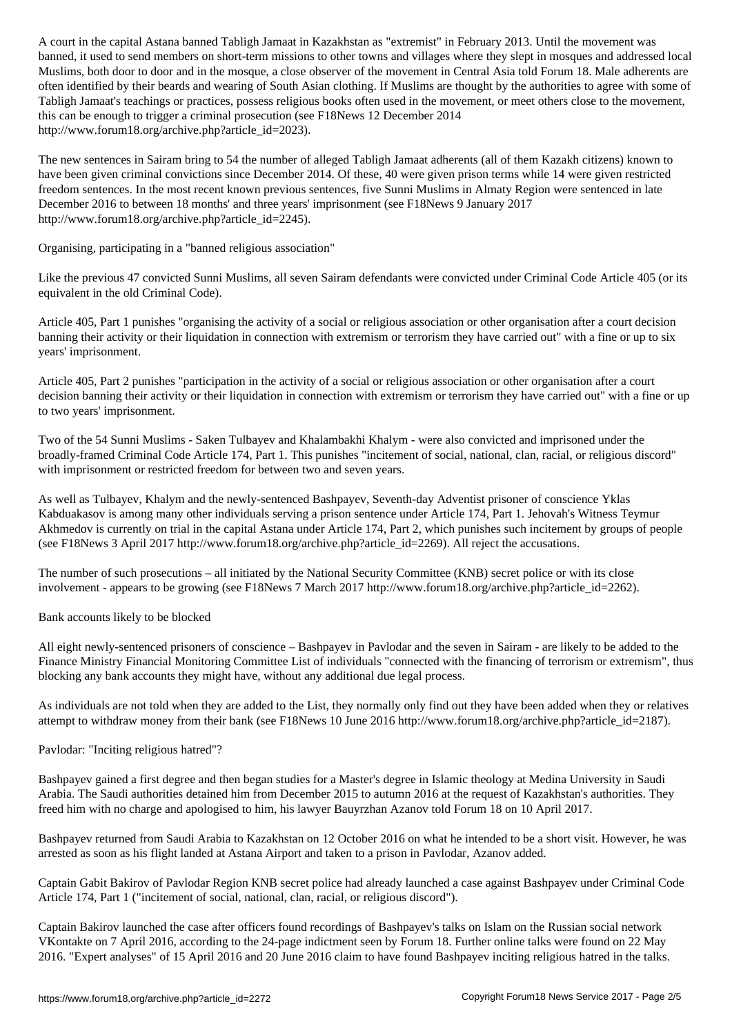banned, it used to send members on short-term missions to other towns and villages where they slept in mosques and addressed local Muslims, both door to door and in the mosque, a close observer of the movement in Central Asia told Forum 18. Male adherents are often identified by their beards and wearing of South Asian clothing. If Muslims are thought by the authorities to agree with some of Tabligh Jamaat's teachings or practices, possess religious books often used in the movement, or meet others close to the movement, this can be enough to trigger a criminal prosecution (see F18News 12 December 2014 http://www.forum18.org/archive.php?article\_id=2023).

The new sentences in Sairam bring to 54 the number of alleged Tabligh Jamaat adherents (all of them Kazakh citizens) known to have been given criminal convictions since December 2014. Of these, 40 were given prison terms while 14 were given restricted freedom sentences. In the most recent known previous sentences, five Sunni Muslims in Almaty Region were sentenced in late December 2016 to between 18 months' and three years' imprisonment (see F18News 9 January 2017 http://www.forum18.org/archive.php?article\_id=2245).

Organising, participating in a "banned religious association"

Like the previous 47 convicted Sunni Muslims, all seven Sairam defendants were convicted under Criminal Code Article 405 (or its equivalent in the old Criminal Code).

Article 405, Part 1 punishes "organising the activity of a social or religious association or other organisation after a court decision banning their activity or their liquidation in connection with extremism or terrorism they have carried out" with a fine or up to six years' imprisonment.

Article 405, Part 2 punishes "participation in the activity of a social or religious association or other organisation after a court decision banning their activity or their liquidation in connection with extremism or terrorism they have carried out" with a fine or up to two years' imprisonment.

Two of the 54 Sunni Muslims - Saken Tulbayev and Khalambakhi Khalym - were also convicted and imprisoned under the broadly-framed Criminal Code Article 174, Part 1. This punishes "incitement of social, national, clan, racial, or religious discord" with imprisonment or restricted freedom for between two and seven years.

As well as Tulbayev, Khalym and the newly-sentenced Bashpayev, Seventh-day Adventist prisoner of conscience Yklas Kabduakasov is among many other individuals serving a prison sentence under Article 174, Part 1. Jehovah's Witness Teymur Akhmedov is currently on trial in the capital Astana under Article 174, Part 2, which punishes such incitement by groups of people (see F18News 3 April 2017 http://www.forum18.org/archive.php?article\_id=2269). All reject the accusations.

The number of such prosecutions – all initiated by the National Security Committee (KNB) secret police or with its close involvement - appears to be growing (see F18News 7 March 2017 http://www.forum18.org/archive.php?article\_id=2262).

Bank accounts likely to be blocked

All eight newly-sentenced prisoners of conscience – Bashpayev in Pavlodar and the seven in Sairam - are likely to be added to the Finance Ministry Financial Monitoring Committee List of individuals "connected with the financing of terrorism or extremism", thus blocking any bank accounts they might have, without any additional due legal process.

As individuals are not told when they are added to the List, they normally only find out they have been added when they or relatives attempt to withdraw money from their bank (see F18News 10 June 2016 http://www.forum18.org/archive.php?article\_id=2187).

Pavlodar: "Inciting religious hatred"?

Bashpayev gained a first degree and then began studies for a Master's degree in Islamic theology at Medina University in Saudi Arabia. The Saudi authorities detained him from December 2015 to autumn 2016 at the request of Kazakhstan's authorities. They freed him with no charge and apologised to him, his lawyer Bauyrzhan Azanov told Forum 18 on 10 April 2017.

Bashpayev returned from Saudi Arabia to Kazakhstan on 12 October 2016 on what he intended to be a short visit. However, he was arrested as soon as his flight landed at Astana Airport and taken to a prison in Pavlodar, Azanov added.

Captain Gabit Bakirov of Pavlodar Region KNB secret police had already launched a case against Bashpayev under Criminal Code Article 174, Part 1 ("incitement of social, national, clan, racial, or religious discord").

Captain Bakirov launched the case after officers found recordings of Bashpayev's talks on Islam on the Russian social network VKontakte on 7 April 2016, according to the 24-page indictment seen by Forum 18. Further online talks were found on 22 May 2016. "Expert analyses" of 15 April 2016 and 20 June 2016 claim to have found Bashpayev inciting religious hatred in the talks.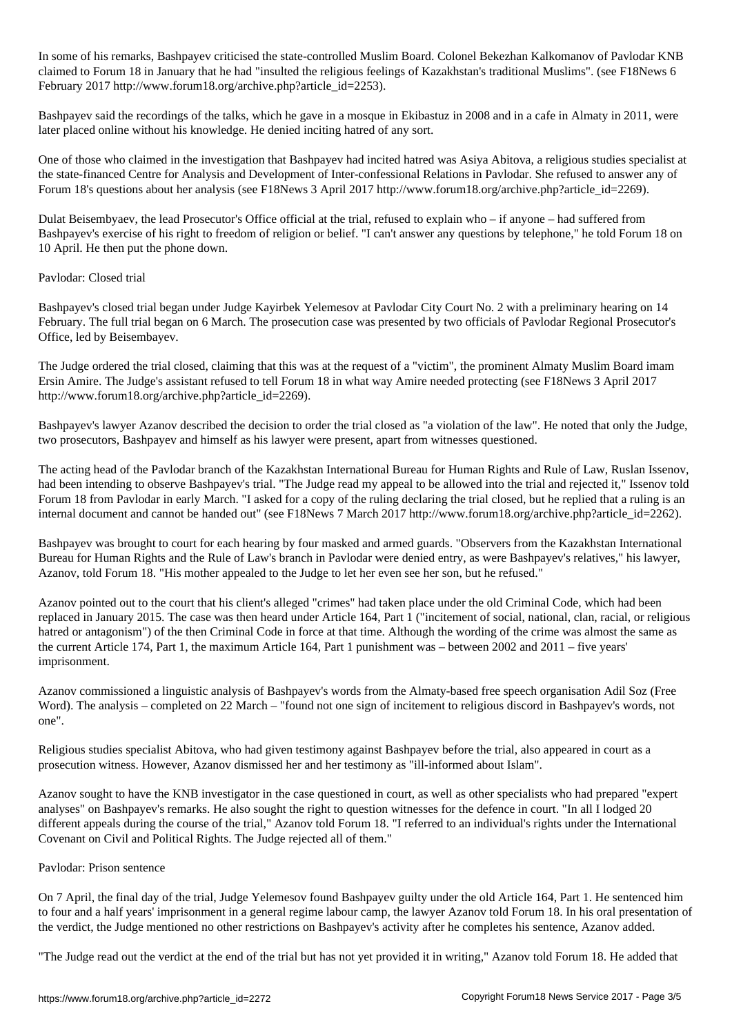In some of his remarks, Bashpayev criticised the state-controlled Muslim Board. Colonel Beke $R$ claimed to Forum 18 in January that he had "insulted the religious feelings of Kazakhstan's traditional Muslims". (see F18News 6 February 2017 http://www.forum18.org/archive.php?article\_id=2253).

Bashpayev said the recordings of the talks, which he gave in a mosque in Ekibastuz in 2008 and in a cafe in Almaty in 2011, were later placed online without his knowledge. He denied inciting hatred of any sort.

One of those who claimed in the investigation that Bashpayev had incited hatred was Asiya Abitova, a religious studies specialist at the state-financed Centre for Analysis and Development of Inter-confessional Relations in Pavlodar. She refused to answer any of Forum 18's questions about her analysis (see F18News 3 April 2017 http://www.forum18.org/archive.php?article\_id=2269).

Dulat Beisembyaev, the lead Prosecutor's Office official at the trial, refused to explain who – if anyone – had suffered from Bashpayev's exercise of his right to freedom of religion or belief. "I can't answer any questions by telephone," he told Forum 18 on 10 April. He then put the phone down.

## Pavlodar: Closed trial

Bashpayev's closed trial began under Judge Kayirbek Yelemesov at Pavlodar City Court No. 2 with a preliminary hearing on 14 February. The full trial began on 6 March. The prosecution case was presented by two officials of Pavlodar Regional Prosecutor's Office, led by Beisembayev.

The Judge ordered the trial closed, claiming that this was at the request of a "victim", the prominent Almaty Muslim Board imam Ersin Amire. The Judge's assistant refused to tell Forum 18 in what way Amire needed protecting (see F18News 3 April 2017 http://www.forum18.org/archive.php?article\_id=2269).

Bashpayev's lawyer Azanov described the decision to order the trial closed as "a violation of the law". He noted that only the Judge, two prosecutors, Bashpayev and himself as his lawyer were present, apart from witnesses questioned.

The acting head of the Pavlodar branch of the Kazakhstan International Bureau for Human Rights and Rule of Law, Ruslan Issenov, had been intending to observe Bashpayev's trial. "The Judge read my appeal to be allowed into the trial and rejected it," Issenov told Forum 18 from Pavlodar in early March. "I asked for a copy of the ruling declaring the trial closed, but he replied that a ruling is an internal document and cannot be handed out" (see F18News 7 March 2017 http://www.forum18.org/archive.php?article\_id=2262).

Bashpayev was brought to court for each hearing by four masked and armed guards. "Observers from the Kazakhstan International Bureau for Human Rights and the Rule of Law's branch in Pavlodar were denied entry, as were Bashpayev's relatives," his lawyer, Azanov, told Forum 18. "His mother appealed to the Judge to let her even see her son, but he refused."

Azanov pointed out to the court that his client's alleged "crimes" had taken place under the old Criminal Code, which had been replaced in January 2015. The case was then heard under Article 164, Part 1 ("incitement of social, national, clan, racial, or religious hatred or antagonism") of the then Criminal Code in force at that time. Although the wording of the crime was almost the same as the current Article 174, Part 1, the maximum Article 164, Part 1 punishment was – between 2002 and 2011 – five years' imprisonment.

Azanov commissioned a linguistic analysis of Bashpayev's words from the Almaty-based free speech organisation Adil Soz (Free Word). The analysis – completed on 22 March – "found not one sign of incitement to religious discord in Bashpayev's words, not one".

Religious studies specialist Abitova, who had given testimony against Bashpayev before the trial, also appeared in court as a prosecution witness. However, Azanov dismissed her and her testimony as "ill-informed about Islam".

Azanov sought to have the KNB investigator in the case questioned in court, as well as other specialists who had prepared "expert analyses" on Bashpayev's remarks. He also sought the right to question witnesses for the defence in court. "In all I lodged 20 different appeals during the course of the trial," Azanov told Forum 18. "I referred to an individual's rights under the International Covenant on Civil and Political Rights. The Judge rejected all of them."

## Pavlodar: Prison sentence

On 7 April, the final day of the trial, Judge Yelemesov found Bashpayev guilty under the old Article 164, Part 1. He sentenced him to four and a half years' imprisonment in a general regime labour camp, the lawyer Azanov told Forum 18. In his oral presentation of the verdict, the Judge mentioned no other restrictions on Bashpayev's activity after he completes his sentence, Azanov added.

"The Judge read out the verdict at the end of the trial but has not yet provided it in writing," Azanov told Forum 18. He added that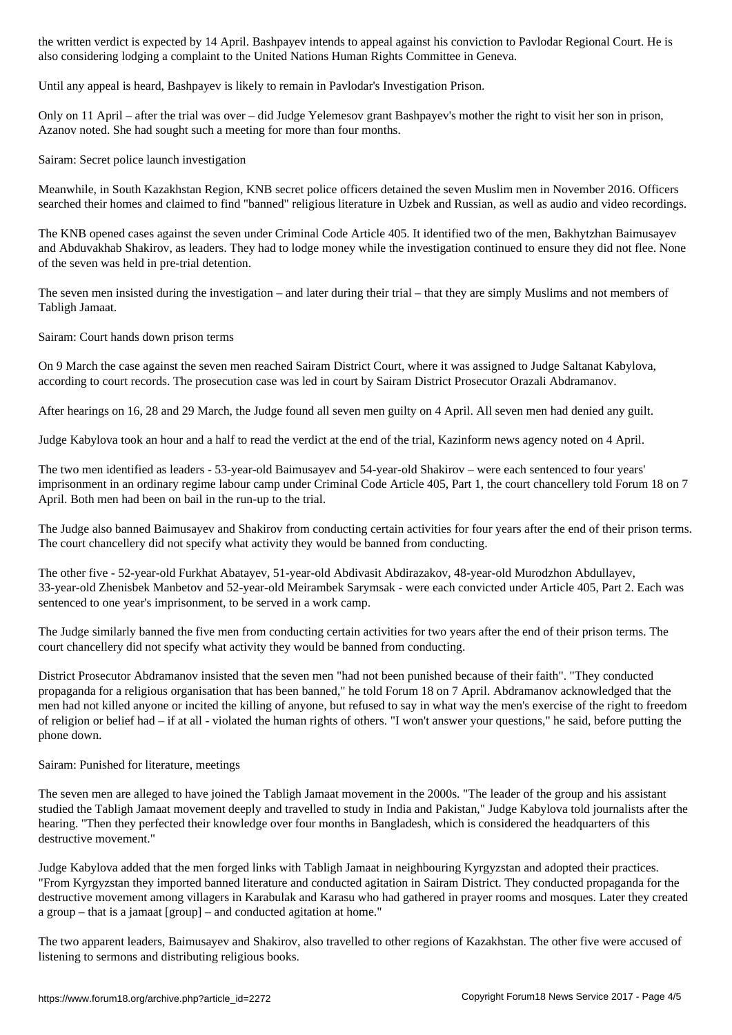also considering lodging a complaint to the United Nations Human Rights Committee in Geneva.

Until any appeal is heard, Bashpayev is likely to remain in Pavlodar's Investigation Prison.

Only on 11 April – after the trial was over – did Judge Yelemesov grant Bashpayev's mother the right to visit her son in prison, Azanov noted. She had sought such a meeting for more than four months.

Sairam: Secret police launch investigation

Meanwhile, in South Kazakhstan Region, KNB secret police officers detained the seven Muslim men in November 2016. Officers searched their homes and claimed to find "banned" religious literature in Uzbek and Russian, as well as audio and video recordings.

The KNB opened cases against the seven under Criminal Code Article 405. It identified two of the men, Bakhytzhan Baimusayev and Abduvakhab Shakirov, as leaders. They had to lodge money while the investigation continued to ensure they did not flee. None of the seven was held in pre-trial detention.

The seven men insisted during the investigation – and later during their trial – that they are simply Muslims and not members of Tabligh Jamaat.

Sairam: Court hands down prison terms

On 9 March the case against the seven men reached Sairam District Court, where it was assigned to Judge Saltanat Kabylova, according to court records. The prosecution case was led in court by Sairam District Prosecutor Orazali Abdramanov.

After hearings on 16, 28 and 29 March, the Judge found all seven men guilty on 4 April. All seven men had denied any guilt.

Judge Kabylova took an hour and a half to read the verdict at the end of the trial, Kazinform news agency noted on 4 April.

The two men identified as leaders - 53-year-old Baimusayev and 54-year-old Shakirov – were each sentenced to four years' imprisonment in an ordinary regime labour camp under Criminal Code Article 405, Part 1, the court chancellery told Forum 18 on 7 April. Both men had been on bail in the run-up to the trial.

The Judge also banned Baimusayev and Shakirov from conducting certain activities for four years after the end of their prison terms. The court chancellery did not specify what activity they would be banned from conducting.

The other five - 52-year-old Furkhat Abatayev, 51-year-old Abdivasit Abdirazakov, 48-year-old Murodzhon Abdullayev, 33-year-old Zhenisbek Manbetov and 52-year-old Meirambek Sarymsak - were each convicted under Article 405, Part 2. Each was sentenced to one year's imprisonment, to be served in a work camp.

The Judge similarly banned the five men from conducting certain activities for two years after the end of their prison terms. The court chancellery did not specify what activity they would be banned from conducting.

District Prosecutor Abdramanov insisted that the seven men "had not been punished because of their faith". "They conducted propaganda for a religious organisation that has been banned," he told Forum 18 on 7 April. Abdramanov acknowledged that the men had not killed anyone or incited the killing of anyone, but refused to say in what way the men's exercise of the right to freedom of religion or belief had – if at all - violated the human rights of others. "I won't answer your questions," he said, before putting the phone down.

Sairam: Punished for literature, meetings

The seven men are alleged to have joined the Tabligh Jamaat movement in the 2000s. "The leader of the group and his assistant studied the Tabligh Jamaat movement deeply and travelled to study in India and Pakistan," Judge Kabylova told journalists after the hearing. "Then they perfected their knowledge over four months in Bangladesh, which is considered the headquarters of this destructive movement."

Judge Kabylova added that the men forged links with Tabligh Jamaat in neighbouring Kyrgyzstan and adopted their practices. "From Kyrgyzstan they imported banned literature and conducted agitation in Sairam District. They conducted propaganda for the destructive movement among villagers in Karabulak and Karasu who had gathered in prayer rooms and mosques. Later they created a group – that is a jamaat [group] – and conducted agitation at home."

The two apparent leaders, Baimusayev and Shakirov, also travelled to other regions of Kazakhstan. The other five were accused of listening to sermons and distributing religious books.